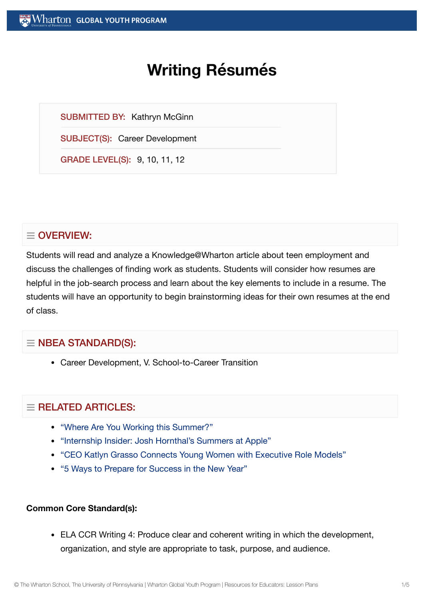# **Writing Résumés**

SUBMITTED BY: Kathryn McGinn

SUBJECT(S): Career Development

GRADE LEVEL(S): 9, 10, 11, 12

# $\equiv$  OVERVIEW:

Students will read and analyze a Knowledge@Wharton article about teen employment and discuss the challenges of finding work as students. Students will consider how resumes are helpful in the job-search process and learn about the key elements to include in a resume. The students will have an opportunity to begin brainstorming ideas for their own resumes at the end of class.

# $\equiv$  NBEA STANDARD(S):

Career Development, V. School-to-Career Transition

# $=$  RELATED ARTICLES:

- "Where Are You Working [this Summer?"](https://globalyouth.wharton.upenn.edu/articles/where-are-you-working-this-summer/)
- "Internship Insider: Josh [Hornthal's Summers at](https://globalyouth.wharton.upenn.edu/articles/internship-insider-josh-hornthals-summers-at-apple/) Apple"
- "CEO Katlyn Grasso [Connects Young](https://globalyouth.wharton.upenn.edu/articles/katlyn-grasso-young-women-executive-role-models/) Women with Executive Role Models"
- "5 Ways to Prepare for [Success in](https://globalyouth.wharton.upenn.edu/articles/a-new-year-and-new-opportunities-are-you-ready/) the New Year"

#### **Common Core Standard(s):**

ELA CCR Writing 4: Produce clear and coherent writing in which the development, organization, and style are appropriate to task, purpose, and audience.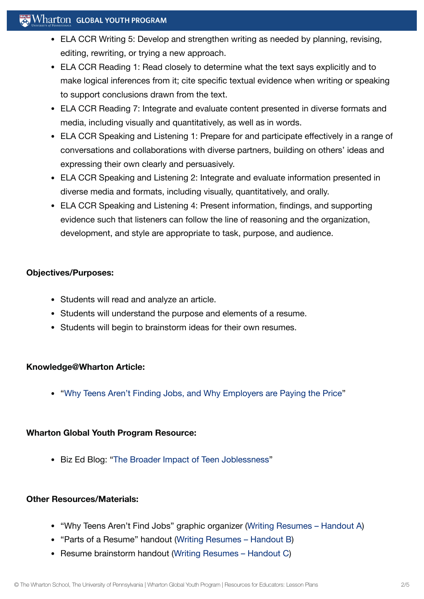# $\mathbb{R}^n$  Wharton Global Youth Program

- ELA CCR Writing 5: Develop and strengthen writing as needed by planning, revising, editing, rewriting, or trying a new approach.
- ELA CCR Reading 1: Read closely to determine what the text says explicitly and to make logical inferences from it; cite specific textual evidence when writing or speaking to support conclusions drawn from the text.
- ELA CCR Reading 7: Integrate and evaluate content presented in diverse formats and media, including visually and quantitatively, as well as in words.
- ELA CCR Speaking and Listening 1: Prepare for and participate effectively in a range of conversations and collaborations with diverse partners, building on others' ideas and expressing their own clearly and persuasively.
- ELA CCR Speaking and Listening 2: Integrate and evaluate information presented in diverse media and formats, including visually, quantitatively, and orally.
- ELA CCR Speaking and Listening 4: Present information, findings, and supporting evidence such that listeners can follow the line of reasoning and the organization, development, and style are appropriate to task, purpose, and audience.

# **Objectives/Purposes:**

- Students will read and analyze an article.
- Students will understand the purpose and elements of a resume.
- Students will begin to brainstorm ideas for their own resumes.

# **Knowledge@Wharton Article:**

"Why Teens Aren't Finding Jobs, and [Why Employers are](http://knowledge.wharton.upenn.edu/article.cfm?articleid=1681) Paying the Price"

# **Wharton Global Youth Program Resource:**

Biz Ed Blog: "The Broader Impact of Teen [Joblessness"](http://kwhs.wharton.upenn.edu/kwhs_teacher_blog/the-broader-impact-of-teen-joblessness/)

# **Other Resources/Materials:**

- "Why Teens Aren't Find Jobs" graphic organizer (Writing [Resumes Handout](https://globalyouth.wharton.upenn.edu/wp-content/uploads/2011/07/Career-Development-1_School.handoutA.pdf) A)
- "Parts of a Resume" handout (Writing [Resumes Handout](https://globalyouth.wharton.upenn.edu/wp-content/uploads/2011/07/Career-Development-1_School.handoutB.pdf) B)
- Resume brainstorm handout (Writing [Resumes Handout](https://globalyouth.wharton.upenn.edu/wp-content/uploads/2011/07/Career-Development-1_School.handoutC.pdf) C)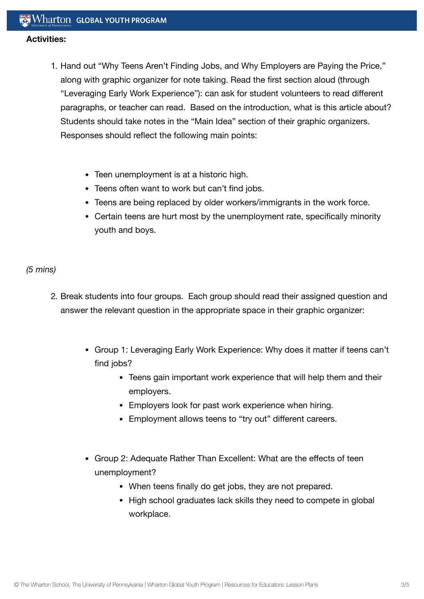#### **Activities:**

- 1. Hand out "Why Teens Aren't Finding Jobs, and Why Employers are Paying the Price," along with graphic organizer for note taking. Read the first section aloud (through "Leveraging Early Work Experience"): can ask for student volunteers to read different paragraphs, or teacher can read. Based on the introduction, what is this article about? Students should take notes in the "Main Idea" section of their graphic organizers. Responses should reflect the following main points:
	- Teen unemployment is at a historic high.
	- Teens often want to work but can't find jobs.
	- Teens are being replaced by older workers/immigrants in the work force.
	- Certain teens are hurt most by the unemployment rate, specifically minority youth and boys.

# *(5 mins)*

- 2. Break students into four groups. Each group should read their assigned question and answer the relevant question in the appropriate space in their graphic organizer:
	- Group 1: Leveraging Early Work Experience: Why does it matter if teens can't find jobs?
		- Teens gain important work experience that will help them and their employers.
		- Employers look for past work experience when hiring.
		- Employment allows teens to "try out" different careers.
	- Group 2: Adequate Rather Than Excellent: What are the effects of teen unemployment?
		- When teens finally do get jobs, they are not prepared.
		- High school graduates lack skills they need to compete in global workplace.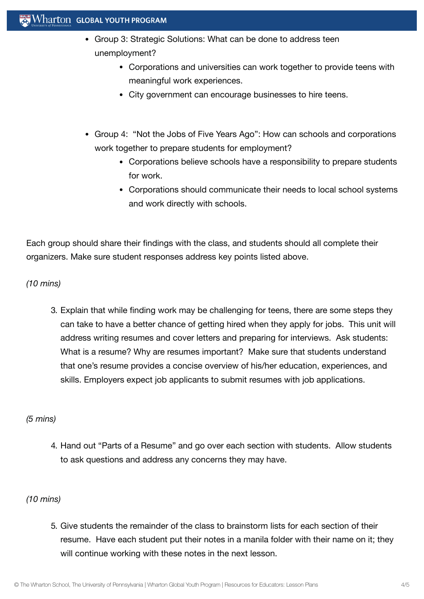# Wharton GLOBAL YOUTH PROGRAM

- Group 3: Strategic Solutions: What can be done to address teen unemployment?
	- Corporations and universities can work together to provide teens with meaningful work experiences.
	- City government can encourage businesses to hire teens.
- Group 4: "Not the Jobs of Five Years Ago": How can schools and corporations work together to prepare students for employment?
	- Corporations believe schools have a responsibility to prepare students for work.
	- Corporations should communicate their needs to local school systems and work directly with schools.

Each group should share their findings with the class, and students should all complete their organizers. Make sure student responses address key points listed above.

*(10 mins)*

3. Explain that while finding work may be challenging for teens, there are some steps they can take to have a better chance of getting hired when they apply for jobs. This unit will address writing resumes and cover letters and preparing for interviews. Ask students: What is a resume? Why are resumes important? Make sure that students understand that one's resume provides a concise overview of his/her education, experiences, and skills. Employers expect job applicants to submit resumes with job applications.

# *(5 mins)*

4. Hand out "Parts of a Resume" and go over each section with students. Allow students to ask questions and address any concerns they may have.

# *(10 mins)*

5. Give students the remainder of the class to brainstorm lists for each section of their resume. Have each student put their notes in a manila folder with their name on it; they will continue working with these notes in the next lesson.